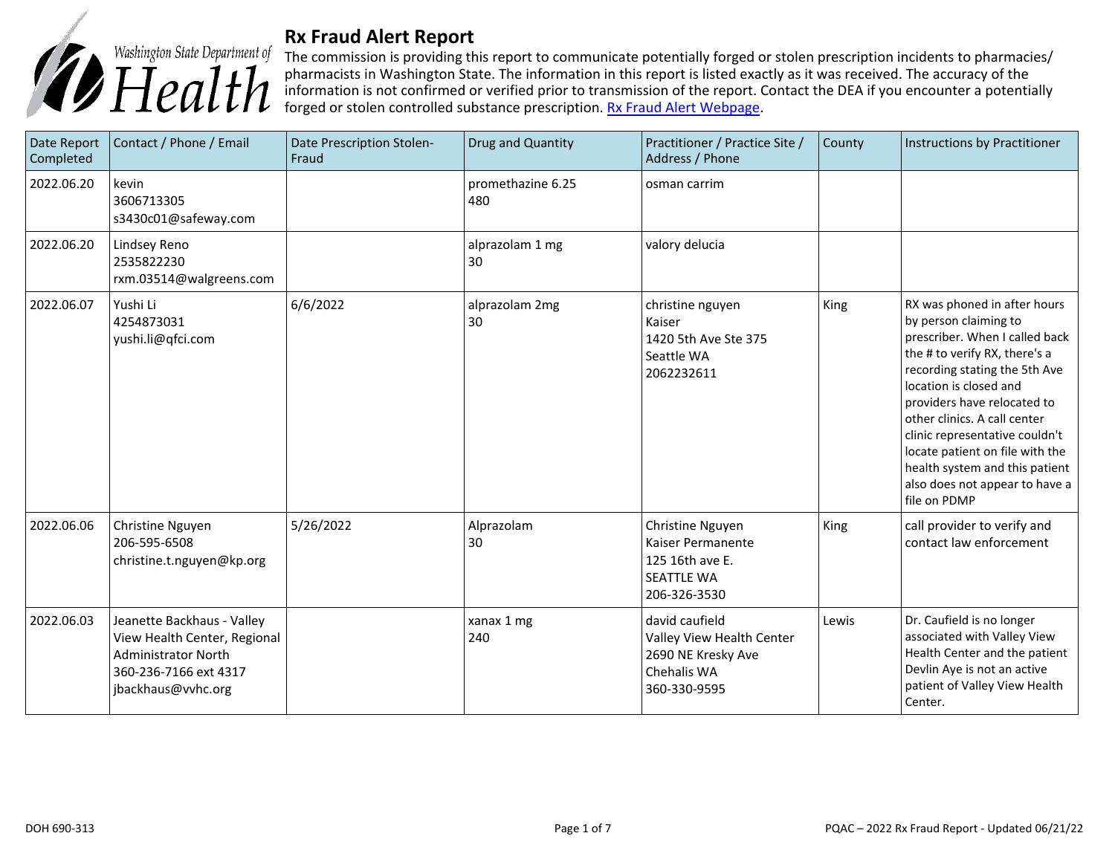

## **Rx Fraud Alert Report**

The commission is providing this report to communicate potentially forged or stolen prescription incidents to pharmacies/ pharmacists in Washington State. The information in this report is listed exactly as it was received. The accuracy of the information is not confirmed or verified prior to transmission of the report. Contact the DEA if you encounter a potentially forged or stolen controlled substance prescription. **Rx Fraud Alert Webpage**.

| Date Report<br>Completed | Contact / Phone / Email                                                                                                                 | Date Prescription Stolen-<br>Fraud | Drug and Quantity        | Practitioner / Practice Site /<br>Address / Phone                                                | County | Instructions by Practitioner                                                                                                                                                                                                                                                                                                                                                                                |
|--------------------------|-----------------------------------------------------------------------------------------------------------------------------------------|------------------------------------|--------------------------|--------------------------------------------------------------------------------------------------|--------|-------------------------------------------------------------------------------------------------------------------------------------------------------------------------------------------------------------------------------------------------------------------------------------------------------------------------------------------------------------------------------------------------------------|
| 2022.06.20               | kevin<br>3606713305<br>s3430c01@safeway.com                                                                                             |                                    | promethazine 6.25<br>480 | osman carrim                                                                                     |        |                                                                                                                                                                                                                                                                                                                                                                                                             |
| 2022.06.20               | Lindsey Reno<br>2535822230<br>rxm.03514@walgreens.com                                                                                   |                                    | alprazolam 1 mg<br>30    | valory delucia                                                                                   |        |                                                                                                                                                                                                                                                                                                                                                                                                             |
| 2022.06.07               | Yushi Li<br>4254873031<br>yushi.li@qfci.com                                                                                             | 6/6/2022                           | alprazolam 2mg<br>30     | christine nguyen<br>Kaiser<br>1420 5th Ave Ste 375<br>Seattle WA<br>2062232611                   | King   | RX was phoned in after hours<br>by person claiming to<br>prescriber. When I called back<br>the # to verify RX, there's a<br>recording stating the 5th Ave<br>location is closed and<br>providers have relocated to<br>other clinics. A call center<br>clinic representative couldn't<br>locate patient on file with the<br>health system and this patient<br>also does not appear to have a<br>file on PDMP |
| 2022.06.06               | Christine Nguyen<br>206-595-6508<br>christine.t.nguyen@kp.org                                                                           | 5/26/2022                          | Alprazolam<br>30         | Christine Nguyen<br>Kaiser Permanente<br>125 16th ave E.<br><b>SEATTLE WA</b><br>206-326-3530    | King   | call provider to verify and<br>contact law enforcement                                                                                                                                                                                                                                                                                                                                                      |
| 2022.06.03               | Jeanette Backhaus - Valley<br>View Health Center, Regional<br><b>Administrator North</b><br>360-236-7166 ext 4317<br>jbackhaus@vvhc.org |                                    | xanax 1 mg<br>240        | david caufield<br>Valley View Health Center<br>2690 NE Kresky Ave<br>Chehalis WA<br>360-330-9595 | Lewis  | Dr. Caufield is no longer<br>associated with Valley View<br>Health Center and the patient<br>Devlin Aye is not an active<br>patient of Valley View Health<br>Center.                                                                                                                                                                                                                                        |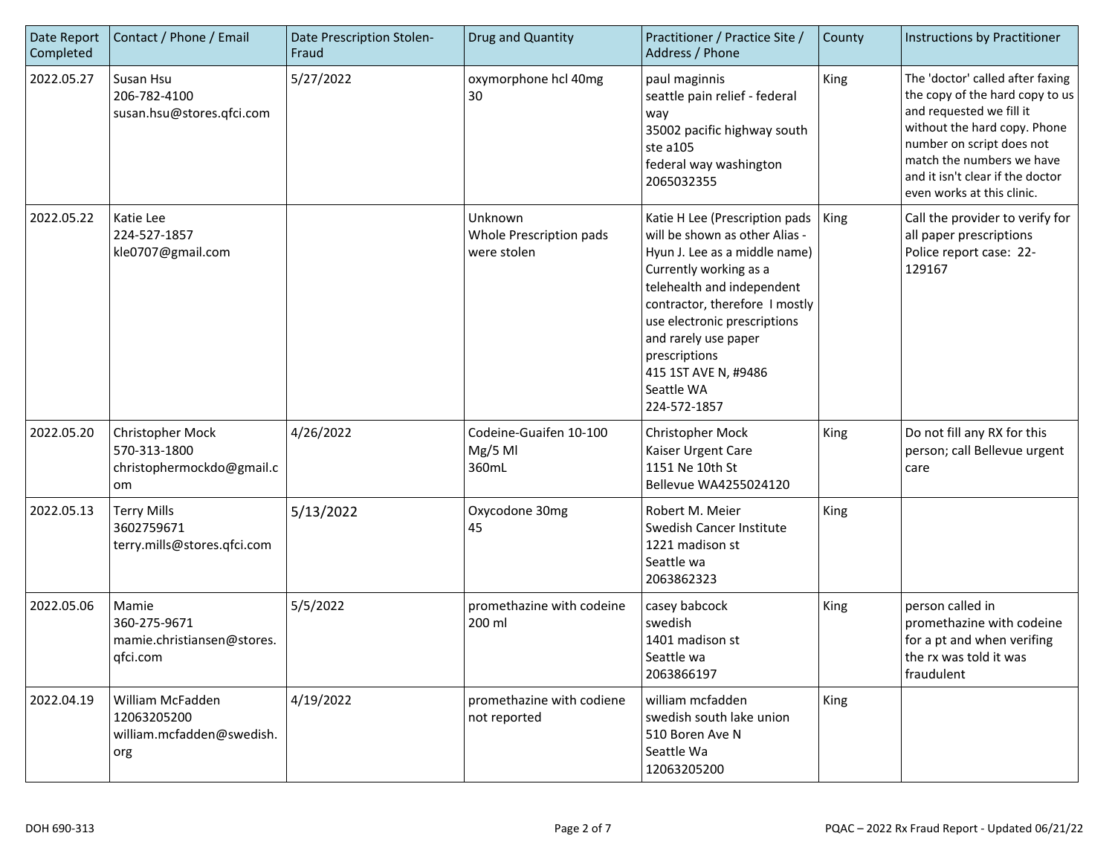| Date Report<br>Completed | Contact / Phone / Email                                             | Date Prescription Stolen-<br>Fraud | Drug and Quantity                                 | Practitioner / Practice Site /<br>Address / Phone                                                                                                                                                                                                                                                                          | County      | Instructions by Practitioner                                                                                                                                                                                                                                |
|--------------------------|---------------------------------------------------------------------|------------------------------------|---------------------------------------------------|----------------------------------------------------------------------------------------------------------------------------------------------------------------------------------------------------------------------------------------------------------------------------------------------------------------------------|-------------|-------------------------------------------------------------------------------------------------------------------------------------------------------------------------------------------------------------------------------------------------------------|
| 2022.05.27               | Susan Hsu<br>206-782-4100<br>susan.hsu@stores.qfci.com              | 5/27/2022                          | oxymorphone hcl 40mg<br>30                        | paul maginnis<br>seattle pain relief - federal<br>way<br>35002 pacific highway south<br>ste a105<br>federal way washington<br>2065032355                                                                                                                                                                                   | King        | The 'doctor' called after faxing<br>the copy of the hard copy to us<br>and requested we fill it<br>without the hard copy. Phone<br>number on script does not<br>match the numbers we have<br>and it isn't clear if the doctor<br>even works at this clinic. |
| 2022.05.22               | Katie Lee<br>224-527-1857<br>kle0707@gmail.com                      |                                    | Unknown<br>Whole Prescription pads<br>were stolen | Katie H Lee (Prescription pads<br>will be shown as other Alias -<br>Hyun J. Lee as a middle name)<br>Currently working as a<br>telehealth and independent<br>contractor, therefore I mostly<br>use electronic prescriptions<br>and rarely use paper<br>prescriptions<br>415 1ST AVE N, #9486<br>Seattle WA<br>224-572-1857 | King        | Call the provider to verify for<br>all paper prescriptions<br>Police report case: 22-<br>129167                                                                                                                                                             |
| 2022.05.20               | Christopher Mock<br>570-313-1800<br>christophermockdo@gmail.c<br>om | 4/26/2022                          | Codeine-Guaifen 10-100<br>$Mg/5$ Ml<br>360mL      | Christopher Mock<br>Kaiser Urgent Care<br>1151 Ne 10th St<br>Bellevue WA4255024120                                                                                                                                                                                                                                         | <b>King</b> | Do not fill any RX for this<br>person; call Bellevue urgent<br>care                                                                                                                                                                                         |
| 2022.05.13               | <b>Terry Mills</b><br>3602759671<br>terry.mills@stores.qfci.com     | 5/13/2022                          | Oxycodone 30mg<br>45                              | Robert M. Meier<br>Swedish Cancer Institute<br>1221 madison st<br>Seattle wa<br>2063862323                                                                                                                                                                                                                                 | King        |                                                                                                                                                                                                                                                             |
| 2022.05.06               | Mamie<br>360-275-9671<br>mamie.christiansen@stores.<br>qfci.com     | 5/5/2022                           | promethazine with codeine<br>200 ml               | casey babcock<br>swedish<br>1401 madison st<br>Seattle wa<br>2063866197                                                                                                                                                                                                                                                    | <b>King</b> | person called in<br>promethazine with codeine<br>for a pt and when verifing<br>the rx was told it was<br>fraudulent                                                                                                                                         |
| 2022.04.19               | William McFadden<br>12063205200<br>william.mcfadden@swedish.<br>org | 4/19/2022                          | promethazine with codiene<br>not reported         | william mcfadden<br>swedish south lake union<br>510 Boren Ave N<br>Seattle Wa<br>12063205200                                                                                                                                                                                                                               | King        |                                                                                                                                                                                                                                                             |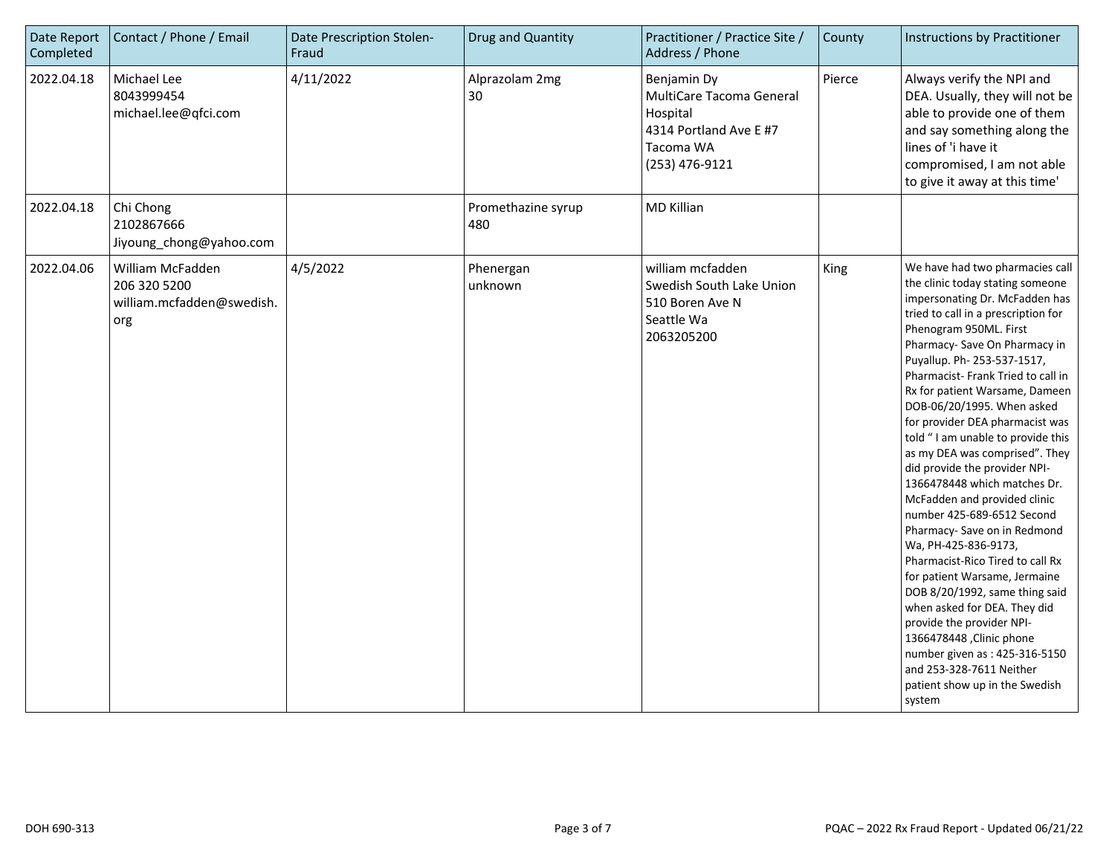| Date Report<br>Completed | Contact / Phone / Email                                              | Date Prescription Stolen-<br>Fraud | Drug and Quantity         | Practitioner / Practice Site /<br>Address / Phone                                                            | County | Instructions by Practitioner                                                                                                                                                                                                                                                                                                                                                                                                                                                                                                                                                                                                                                                                                                                                                                                                                                                                                                                            |
|--------------------------|----------------------------------------------------------------------|------------------------------------|---------------------------|--------------------------------------------------------------------------------------------------------------|--------|---------------------------------------------------------------------------------------------------------------------------------------------------------------------------------------------------------------------------------------------------------------------------------------------------------------------------------------------------------------------------------------------------------------------------------------------------------------------------------------------------------------------------------------------------------------------------------------------------------------------------------------------------------------------------------------------------------------------------------------------------------------------------------------------------------------------------------------------------------------------------------------------------------------------------------------------------------|
| 2022.04.18               | Michael Lee<br>8043999454<br>michael.lee@qfci.com                    | 4/11/2022                          | Alprazolam 2mg<br>30      | Benjamin Dy<br>MultiCare Tacoma General<br>Hospital<br>4314 Portland Ave E #7<br>Tacoma WA<br>(253) 476-9121 | Pierce | Always verify the NPI and<br>DEA. Usually, they will not be<br>able to provide one of them<br>and say something along the<br>lines of 'i have it<br>compromised, I am not able<br>to give it away at this time'                                                                                                                                                                                                                                                                                                                                                                                                                                                                                                                                                                                                                                                                                                                                         |
| 2022.04.18               | Chi Chong<br>2102867666<br>Jiyoung_chong@yahoo.com                   |                                    | Promethazine syrup<br>480 | <b>MD Killian</b>                                                                                            |        |                                                                                                                                                                                                                                                                                                                                                                                                                                                                                                                                                                                                                                                                                                                                                                                                                                                                                                                                                         |
| 2022.04.06               | William McFadden<br>206 320 5200<br>william.mcfadden@swedish.<br>org | 4/5/2022                           | Phenergan<br>unknown      | william mcfadden<br>Swedish South Lake Union<br>510 Boren Ave N<br>Seattle Wa<br>2063205200                  | King   | We have had two pharmacies call<br>the clinic today stating someone<br>impersonating Dr. McFadden has<br>tried to call in a prescription for<br>Phenogram 950ML. First<br>Pharmacy- Save On Pharmacy in<br>Puyallup. Ph- 253-537-1517,<br>Pharmacist-Frank Tried to call in<br>Rx for patient Warsame, Dameen<br>DOB-06/20/1995. When asked<br>for provider DEA pharmacist was<br>told "I am unable to provide this<br>as my DEA was comprised". They<br>did provide the provider NPI-<br>1366478448 which matches Dr.<br>McFadden and provided clinic<br>number 425-689-6512 Second<br>Pharmacy- Save on in Redmond<br>Wa, PH-425-836-9173,<br>Pharmacist-Rico Tired to call Rx<br>for patient Warsame, Jermaine<br>DOB 8/20/1992, same thing said<br>when asked for DEA. They did<br>provide the provider NPI-<br>1366478448 , Clinic phone<br>number given as : 425-316-5150<br>and 253-328-7611 Neither<br>patient show up in the Swedish<br>system |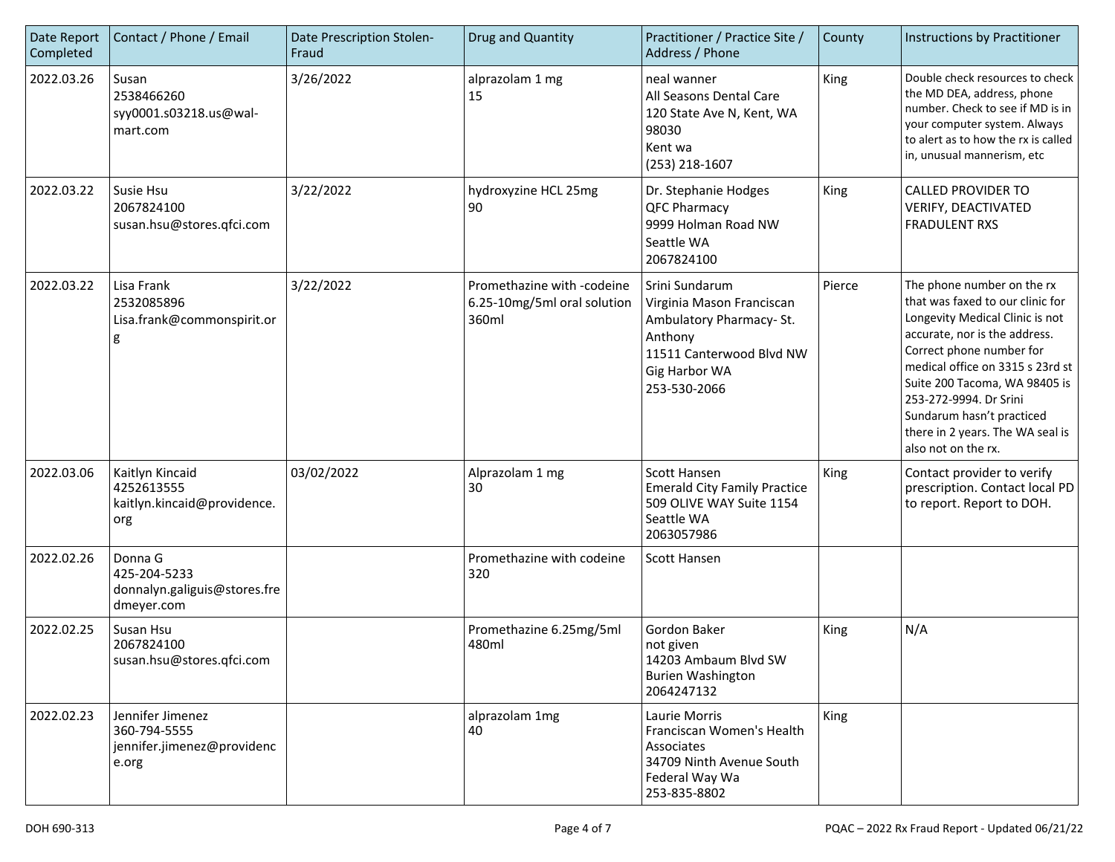| Date Report<br>Completed | Contact / Phone / Email                                                 | Date Prescription Stolen-<br>Fraud | Drug and Quantity                                                  | Practitioner / Practice Site /<br>Address / Phone                                                                                              | County | Instructions by Practitioner                                                                                                                                                                                                                                                                                                                          |
|--------------------------|-------------------------------------------------------------------------|------------------------------------|--------------------------------------------------------------------|------------------------------------------------------------------------------------------------------------------------------------------------|--------|-------------------------------------------------------------------------------------------------------------------------------------------------------------------------------------------------------------------------------------------------------------------------------------------------------------------------------------------------------|
| 2022.03.26               | Susan<br>2538466260<br>syy0001.s03218.us@wal-<br>mart.com               | 3/26/2022                          | alprazolam 1 mg<br>15                                              | neal wanner<br>All Seasons Dental Care<br>120 State Ave N, Kent, WA<br>98030<br>Kent wa<br>(253) 218-1607                                      | King   | Double check resources to check<br>the MD DEA, address, phone<br>number. Check to see if MD is in<br>your computer system. Always<br>to alert as to how the rx is called<br>in, unusual mannerism, etc                                                                                                                                                |
| 2022.03.22               | l Susie Hsu<br>2067824100<br>susan.hsu@stores.qfci.com                  | 3/22/2022                          | hydroxyzine HCL 25mg<br>90                                         | Dr. Stephanie Hodges<br><b>QFC Pharmacy</b><br>9999 Holman Road NW<br>Seattle WA<br>2067824100                                                 | King   | <b>CALLED PROVIDER TO</b><br>VERIFY, DEACTIVATED<br><b>FRADULENT RXS</b>                                                                                                                                                                                                                                                                              |
| 2022.03.22               | Lisa Frank<br>2532085896<br>Lisa.frank@commonspirit.or<br>g             | 3/22/2022                          | Promethazine with -codeine<br>6.25-10mg/5ml oral solution<br>360ml | Srini Sundarum<br>Virginia Mason Franciscan<br>Ambulatory Pharmacy-St.<br>Anthony<br>11511 Canterwood Blvd NW<br>Gig Harbor WA<br>253-530-2066 | Pierce | The phone number on the rx<br>that was faxed to our clinic for<br>Longevity Medical Clinic is not<br>accurate, nor is the address.<br>Correct phone number for<br>medical office on 3315 s 23rd st<br>Suite 200 Tacoma, WA 98405 is<br>253-272-9994. Dr Srini<br>Sundarum hasn't practiced<br>there in 2 years. The WA seal is<br>also not on the rx. |
| 2022.03.06               | Kaitlyn Kincaid<br>4252613555<br>kaitlyn.kincaid@providence.<br>org     | 03/02/2022                         | Alprazolam 1 mg<br>30                                              | Scott Hansen<br><b>Emerald City Family Practice</b><br>509 OLIVE WAY Suite 1154<br>Seattle WA<br>2063057986                                    | King   | Contact provider to verify<br>prescription. Contact local PD<br>to report. Report to DOH.                                                                                                                                                                                                                                                             |
| 2022.02.26               | Donna G<br>425-204-5233<br>donnalyn.galiguis@stores.fre<br>dmeyer.com   |                                    | Promethazine with codeine<br>320                                   | Scott Hansen                                                                                                                                   |        |                                                                                                                                                                                                                                                                                                                                                       |
| 2022.02.25               | Susan Hsu<br>2067824100<br>susan.hsu@stores.qfci.com                    |                                    | Promethazine 6.25mg/5ml<br>480ml                                   | Gordon Baker<br>not given<br>14203 Ambaum Blvd SW<br><b>Burien Washington</b><br>2064247132                                                    | King   | N/A                                                                                                                                                                                                                                                                                                                                                   |
| 2022.02.23               | Jennifer Jimenez<br>360-794-5555<br>jennifer.jimenez@providenc<br>e.org |                                    | alprazolam 1mg<br>40                                               | Laurie Morris<br>Franciscan Women's Health<br>Associates<br>34709 Ninth Avenue South<br>Federal Way Wa<br>253-835-8802                         | King   |                                                                                                                                                                                                                                                                                                                                                       |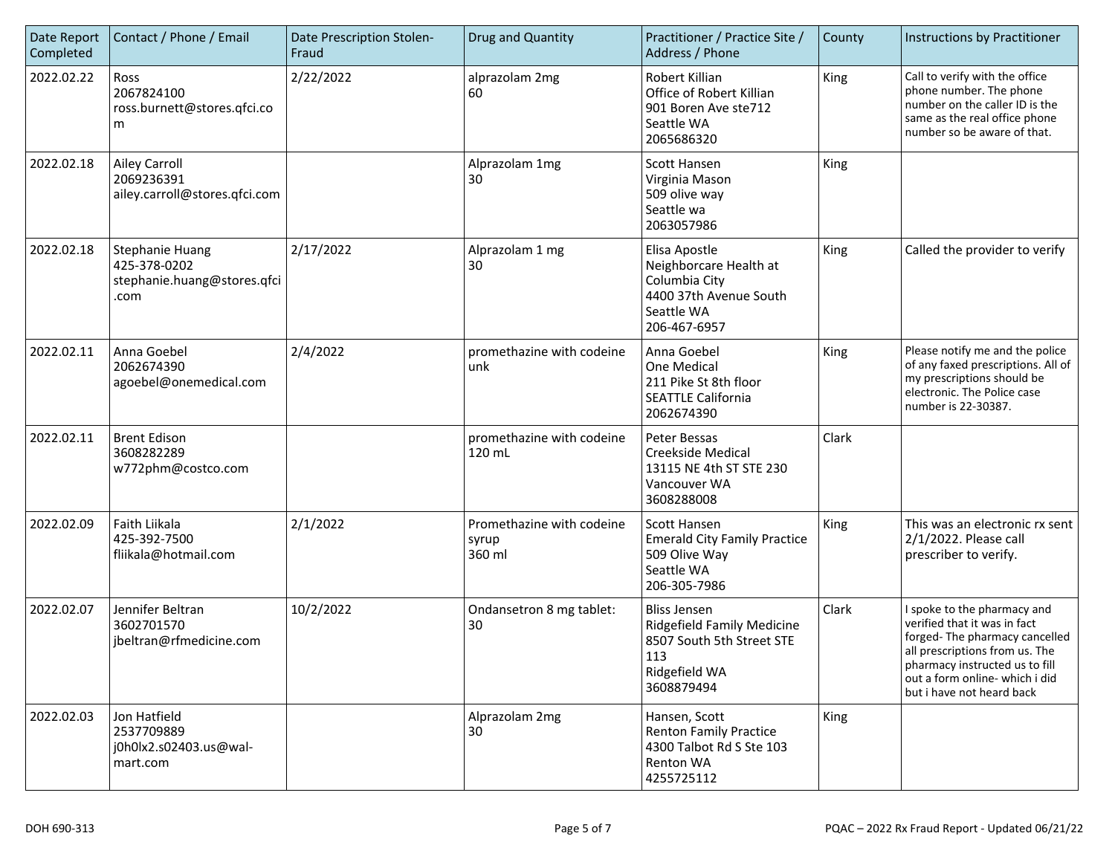| Date Report<br>Completed | Contact / Phone / Email                                                       | Date Prescription Stolen-<br>Fraud | Drug and Quantity                            | Practitioner / Practice Site /<br>Address / Phone                                                                           | County | Instructions by Practitioner                                                                                                                                                                                                    |
|--------------------------|-------------------------------------------------------------------------------|------------------------------------|----------------------------------------------|-----------------------------------------------------------------------------------------------------------------------------|--------|---------------------------------------------------------------------------------------------------------------------------------------------------------------------------------------------------------------------------------|
| 2022.02.22               | Ross<br>2067824100<br>ross.burnett@stores.qfci.co<br>m                        | 2/22/2022                          | alprazolam 2mg<br>60                         | Robert Killian<br>Office of Robert Killian<br>901 Boren Ave ste712<br>Seattle WA<br>2065686320                              | King   | Call to verify with the office<br>phone number. The phone<br>number on the caller ID is the<br>same as the real office phone<br>number so be aware of that.                                                                     |
| 2022.02.18               | <b>Ailey Carroll</b><br>2069236391<br>ailey.carroll@stores.qfci.com           |                                    | Alprazolam 1mg<br>30                         | <b>Scott Hansen</b><br>Virginia Mason<br>509 olive way<br>Seattle wa<br>2063057986                                          | King   |                                                                                                                                                                                                                                 |
| 2022.02.18               | <b>Stephanie Huang</b><br>425-378-0202<br>stephanie.huang@stores.qfci<br>.com | 2/17/2022                          | Alprazolam 1 mg<br>30                        | Elisa Apostle<br>Neighborcare Health at<br>Columbia City<br>4400 37th Avenue South<br>Seattle WA<br>206-467-6957            | King   | Called the provider to verify                                                                                                                                                                                                   |
| 2022.02.11               | Anna Goebel<br>2062674390<br>agoebel@onemedical.com                           | 2/4/2022                           | promethazine with codeine<br>unk             | Anna Goebel<br>One Medical<br>211 Pike St 8th floor<br><b>SEATTLE California</b><br>2062674390                              | King   | Please notify me and the police<br>of any faxed prescriptions. All of<br>my prescriptions should be<br>electronic. The Police case<br>number is 22-30387.                                                                       |
| 2022.02.11               | <b>Brent Edison</b><br>3608282289<br>w772phm@costco.com                       |                                    | promethazine with codeine<br>120 mL          | Peter Bessas<br><b>Creekside Medical</b><br>13115 NE 4th ST STE 230<br>Vancouver WA<br>3608288008                           | Clark  |                                                                                                                                                                                                                                 |
| 2022.02.09               | Faith Liikala<br>425-392-7500<br>fliikala@hotmail.com                         | 2/1/2022                           | Promethazine with codeine<br>syrup<br>360 ml | Scott Hansen<br><b>Emerald City Family Practice</b><br>509 Olive Way<br>Seattle WA<br>206-305-7986                          | King   | This was an electronic rx sent<br>2/1/2022. Please call<br>prescriber to verify.                                                                                                                                                |
| 2022.02.07               | Jennifer Beltran<br>3602701570<br>jbeltran@rfmedicine.com                     | 10/2/2022                          | Ondansetron 8 mg tablet:<br>30               | <b>Bliss Jensen</b><br><b>Ridgefield Family Medicine</b><br>8507 South 5th Street STE<br>113<br>Ridgefield WA<br>3608879494 | Clark  | I spoke to the pharmacy and<br>verified that it was in fact<br>forged-The pharmacy cancelled<br>all prescriptions from us. The<br>pharmacy instructed us to fill<br>out a form online- which i did<br>but i have not heard back |
| 2022.02.03               | Jon Hatfield<br>2537709889<br>j0h0lx2.s02403.us@wal-<br>mart.com              |                                    | Alprazolam 2mg<br>30                         | Hansen, Scott<br><b>Renton Family Practice</b><br>4300 Talbot Rd S Ste 103<br>Renton WA<br>4255725112                       | King   |                                                                                                                                                                                                                                 |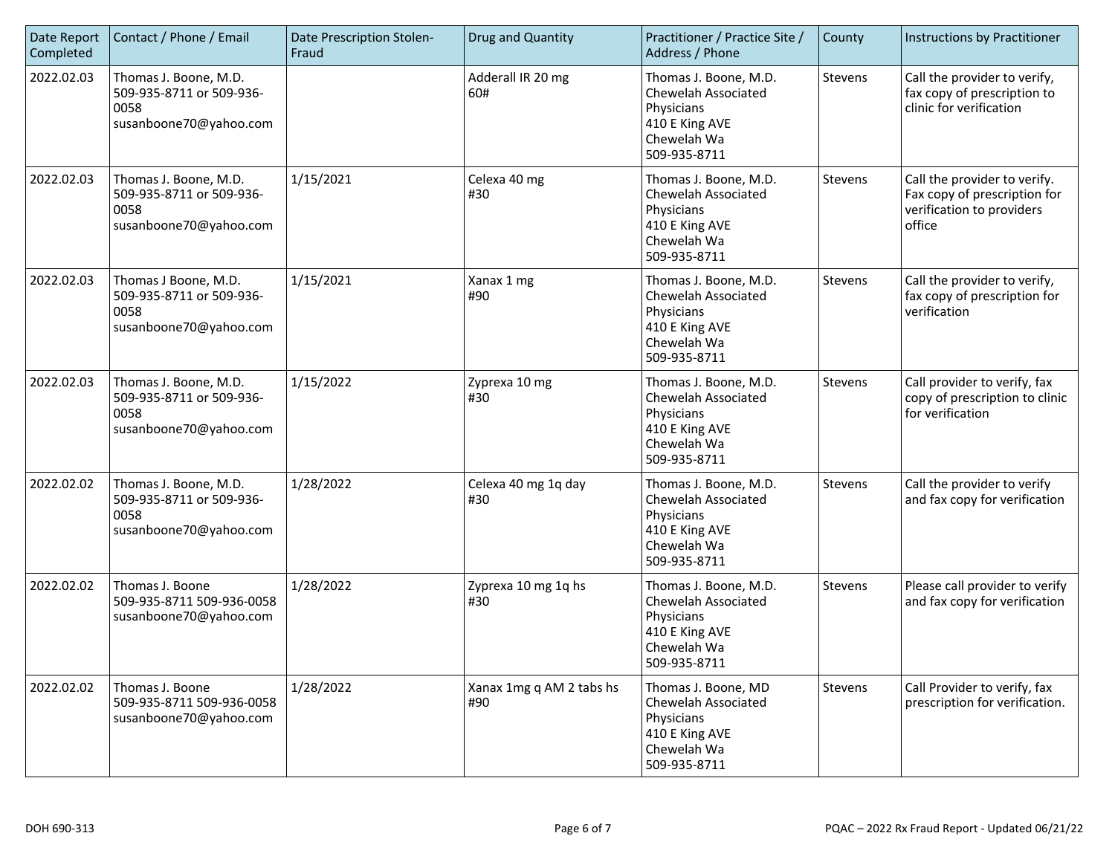| Date Report<br>Completed | Contact / Phone / Email                                                             | Date Prescription Stolen-<br>Fraud | Drug and Quantity               | Practitioner / Practice Site /<br>Address / Phone                                                           | County  | Instructions by Practitioner                                                                        |
|--------------------------|-------------------------------------------------------------------------------------|------------------------------------|---------------------------------|-------------------------------------------------------------------------------------------------------------|---------|-----------------------------------------------------------------------------------------------------|
| 2022.02.03               | Thomas J. Boone, M.D.<br>509-935-8711 or 509-936-<br>0058<br>susanboone70@yahoo.com |                                    | Adderall IR 20 mg<br>60#        | Thomas J. Boone, M.D.<br>Chewelah Associated<br>Physicians<br>410 E King AVE<br>Chewelah Wa<br>509-935-8711 | Stevens | Call the provider to verify,<br>fax copy of prescription to<br>clinic for verification              |
| 2022.02.03               | Thomas J. Boone, M.D.<br>509-935-8711 or 509-936-<br>0058<br>susanboone70@yahoo.com | 1/15/2021                          | Celexa 40 mg<br>#30             | Thomas J. Boone, M.D.<br>Chewelah Associated<br>Physicians<br>410 E King AVE<br>Chewelah Wa<br>509-935-8711 | Stevens | Call the provider to verify.<br>Fax copy of prescription for<br>verification to providers<br>office |
| 2022.02.03               | Thomas J Boone, M.D.<br>509-935-8711 or 509-936-<br>0058<br>susanboone70@yahoo.com  | 1/15/2021                          | Xanax 1 mg<br>#90               | Thomas J. Boone, M.D.<br>Chewelah Associated<br>Physicians<br>410 E King AVE<br>Chewelah Wa<br>509-935-8711 | Stevens | Call the provider to verify,<br>fax copy of prescription for<br>verification                        |
| 2022.02.03               | Thomas J. Boone, M.D.<br>509-935-8711 or 509-936-<br>0058<br>susanboone70@yahoo.com | 1/15/2022                          | Zyprexa 10 mg<br>#30            | Thomas J. Boone, M.D.<br>Chewelah Associated<br>Physicians<br>410 E King AVE<br>Chewelah Wa<br>509-935-8711 | Stevens | Call provider to verify, fax<br>copy of prescription to clinic<br>for verification                  |
| 2022.02.02               | Thomas J. Boone, M.D.<br>509-935-8711 or 509-936-<br>0058<br>susanboone70@yahoo.com | 1/28/2022                          | Celexa 40 mg 1q day<br>#30      | Thomas J. Boone, M.D.<br>Chewelah Associated<br>Physicians<br>410 E King AVE<br>Chewelah Wa<br>509-935-8711 | Stevens | Call the provider to verify<br>and fax copy for verification                                        |
| 2022.02.02               | Thomas J. Boone<br>509-935-8711 509-936-0058<br>susanboone70@yahoo.com              | 1/28/2022                          | Zyprexa 10 mg 1q hs<br>#30      | Thomas J. Boone, M.D.<br>Chewelah Associated<br>Physicians<br>410 E King AVE<br>Chewelah Wa<br>509-935-8711 | Stevens | Please call provider to verify<br>and fax copy for verification                                     |
| 2022.02.02               | Thomas J. Boone<br>509-935-8711 509-936-0058<br>susanboone70@yahoo.com              | 1/28/2022                          | Xanax 1mg q AM 2 tabs hs<br>#90 | Thomas J. Boone, MD<br>Chewelah Associated<br>Physicians<br>410 E King AVE<br>Chewelah Wa<br>509-935-8711   | Stevens | Call Provider to verify, fax<br>prescription for verification.                                      |